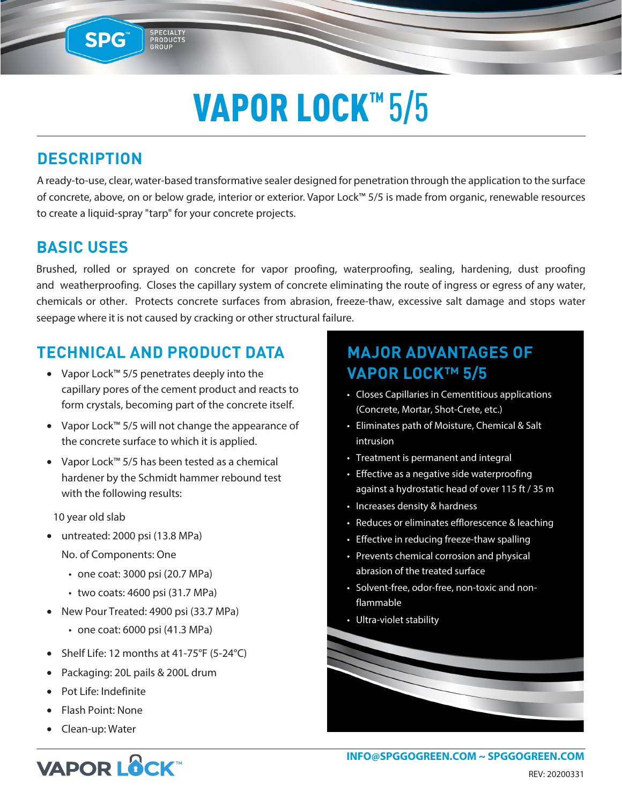# VAPOR LOCK<sup>™</sup>5/5

## **DESCRIPTION**

SPG™

SPECIALTY<br>PRODUCTS<br>GROUP

A ready-to-use, clear, water-based transformative sealer designed for penetration through the application to the surface of concrete, above, on or below grade, interior or exterior. Vapor Lock™ 5/5 is made from organic, renewable resources to create a liquid-spray "tarp" for your concrete projects.

### **BASIC USES**

Brushed, rolled or sprayed on concrete for vapor proofing, waterproofing, sealing, hardening, dust proofing and weatherproofing. Closes the capillary system of concrete eliminating the route of ingress or egress of any water, chemicals or other. Protects concrete surfaces from abrasion, freeze-thaw, excessive salt damage and stops water seepage where it is not caused by cracking or other structural failure.

### **TECHNICAL AND PRODUCT DATA**

- Vapor Lock™ 5/5 penetrates deeply into the capillary pores of the cement product and reacts to form crystals, becoming part of the concrete itself.
- Vapor Lock™ 5/5 will not change the appearance of the concrete surface to which it is applied.
- Vapor Lock™ 5/5 has been tested as a chemical hardener by the Schmidt hammer rebound test with the following results:

10 year old slab

- untreated: 2000 psi (13.8 MPa) No. of Components: One
	-
	- one coat: 3000 psi (20.7 MPa)
	- two coats: 4600 psi (31.7 MPa)
- New Pour Treated: 4900 psi (33.7 MPa)
	- one coat: 6000 psi (41.3 MPa)
- Shelf Life: 12 months at 41-75°F (5-24°C)
- Packaging: 20L pails & 200L drum
- Pot Life: Indefinite
- Flash Point: None
- Clean-up: Water

## **MAJOR ADVANTAGES OF VAPOR LOCK™ 5/5**

- Closes Capillaries in Cementitious applications (Concrete, Mortar, Shot-Crete, etc.)
- Eliminates path of Moisture, Chemical & Salt intrusion
- Treatment is permanent and integral
- Effective as a negative side waterproofing against a hydrostatic head of over 115 ft / 35 m
- Increases density & hardness
- Reduces or eliminates efflorescence & leaching
- Effective in reducing freeze-thaw spalling
- Prevents chemical corrosion and physical abrasion of the treated surface
- Solvent-free, odor-free, non-toxic and nonflammable
- Ultra-violet stability

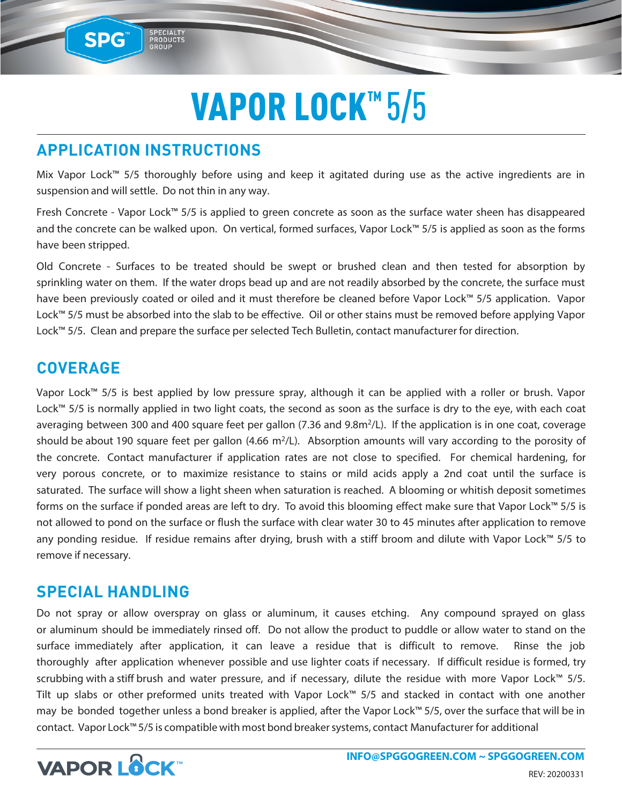## VAPOR LOCK™ 5/5

## **APPLICATION INSTRUCTIONS**

SPECIALTY<br>PRODUCTS<br>GROUP

SPG™

Mix Vapor Lock™ 5/5 thoroughly before using and keep it agitated during use as the active ingredients are in suspension and will settle. Do not thin in any way.

Fresh Concrete - Vapor Lock™ 5/5 is applied to green concrete as soon as the surface water sheen has disappeared and the concrete can be walked upon. On vertical, formed surfaces, Vapor Lock™ 5/5 is applied as soon as the forms have been stripped.

Old Concrete - Surfaces to be treated should be swept or brushed clean and then tested for absorption by sprinkling water on them. If the water drops bead up and are not readily absorbed by the concrete, the surface must have been previously coated or oiled and it must therefore be cleaned before Vapor Lock™ 5/5 application. Vapor Lock™ 5/5 must be absorbed into the slab to be effective. Oil or other stains must be removed before applying Vapor Lock™ 5/5. Clean and prepare the surface per selected Tech Bulletin, contact manufacturer for direction.

#### **COVERAGE**

Vapor Lock™ 5/5 is best applied by low pressure spray, although it can be applied with a roller or brush. Vapor Lock™ 5/5 is normally applied in two light coats, the second as soon as the surface is dry to the eye, with each coat averaging between 300 and 400 square feet per gallon (7.36 and 9.8m<sup>2</sup>/L). If the application is in one coat, coverage should be about 190 square feet per gallon  $(4.66 \text{ m}^2/\text{L})$ . Absorption amounts will vary according to the porosity of the concrete. Contact manufacturer if application rates are not close to specified. For chemical hardening, for very porous concrete, or to maximize resistance to stains or mild acids apply a 2nd coat until the surface is saturated. The surface will show a light sheen when saturation is reached. A blooming or whitish deposit sometimes forms on the surface if ponded areas are left to dry. To avoid this blooming effect make sure that Vapor Lock™ 5/5 is not allowed to pond on the surface or flush the surface with clear water 30 to 45 minutes after application to remove any ponding residue. If residue remains after drying, brush with a stiff broom and dilute with Vapor Lock™ 5/5 to remove if necessary.

#### **SPECIAL HANDLING**

Do not spray or allow overspray on glass or aluminum, it causes etching. Any compound sprayed on glass or aluminum should be immediately rinsed off. Do not allow the product to puddle or allow water to stand on the surface immediately after application, it can leave a residue that is difficult to remove. Rinse the job thoroughly after application whenever possible and use lighter coats if necessary. If difficult residue is formed, try scrubbing with a stiff brush and water pressure, and if necessary, dilute the residue with more Vapor Lock™ 5/5. Tilt up slabs or other preformed units treated with Vapor Lock™ 5/5 and stacked in contact with one another may be bonded together unless a bond breaker is applied, after the Vapor Lock™ 5/5, over the surface that will be in contact. Vapor Lock™ 5/5 is compatible with most bond breaker systems, contact Manufacturer for additional